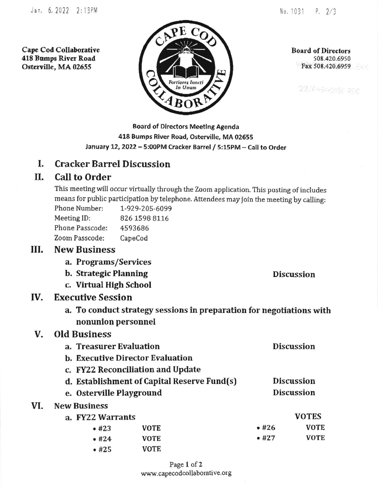Cape Cod Collaborative 418 Bumpe River Road Osterville, MA 02655



Board of Directors s08 .420 .69s0 Fax 508.420.6959

"22JANG==2156 REC

Board of Dlrectors Meetlng Agenda 418 Bumps River Road, Osterville, MA 02655 January 12, 2022 - 5:00PM Cracker Barrel / 5:15PM - Call to Order

### L Cracker Barrel Discussion

# II, CaIl to Order

This meeting will occur virtually through the zoom application. This posting of includes means for public participation by telephone. Attendees may join the meeting by calling:

| 1-929-205-6099 |
|----------------|
| 826 1598 8116  |
| 4593686        |
| CapeCod        |
|                |

## New Business III.

- a. Programs/Services
- b. Strategic Planning Discussion
- c. Virtual High School

#### Executive Session IV

a. To conduct strategy sessions in preparation for negotiations with nonunion personnel

### Old Business V

VI

| a. Treasurer Evaluation                     |                                         | <b>Discussion</b> |                   |
|---------------------------------------------|-----------------------------------------|-------------------|-------------------|
|                                             | <b>b. Executive Director Evaluation</b> |                   |                   |
|                                             | c. FY22 Reconciliation and Update       |                   |                   |
| d. Establishment of Capital Reserve Fund(s) |                                         |                   | <b>Discussion</b> |
| e. Osterville Playground                    |                                         |                   | <b>Discussion</b> |
| <b>New Business</b>                         |                                         |                   |                   |
| a. FY22 Warrants                            |                                         |                   | <b>VOTES</b>      |
| •  #23                                      | VOTE                                    | •#26              | <b>VOTE</b>       |
| •  #24                                      | <b>VOTE</b>                             | •  #27            | <b>VOTE</b>       |
| • 425                                       | VOTE                                    |                   |                   |

Page I of 2 www.capecodcollaborative.org